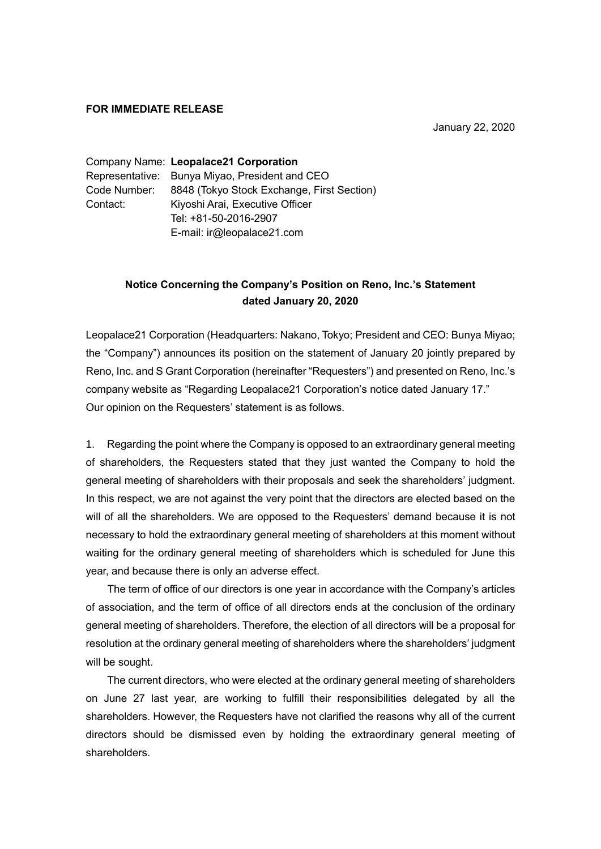## **FOR IMMEDIATE RELEASE**

January 22, 2020

Company Name: **Leopalace21 Corporation** Representative: Bunya Miyao, President and CEO Code Number: 8848 (Tokyo Stock Exchange, First Section) Contact: Kiyoshi Arai, Executive Officer Tel: +81-50-2016-2907 E-mail: ir@leopalace21.com

## **Notice Concerning the Company's Position on Reno, Inc.'s Statement dated January 20, 2020**

Leopalace21 Corporation (Headquarters: Nakano, Tokyo; President and CEO: Bunya Miyao; the "Company") announces its position on the statement of January 20 jointly prepared by Reno, Inc. and S Grant Corporation (hereinafter "Requesters") and presented on Reno, Inc.'s company website as "Regarding Leopalace21 Corporation's notice dated January 17." Our opinion on the Requesters' statement is as follows.

1. Regarding the point where the Company is opposed to an extraordinary general meeting of shareholders, the Requesters stated that they just wanted the Company to hold the general meeting of shareholders with their proposals and seek the shareholders' judgment. In this respect, we are not against the very point that the directors are elected based on the will of all the shareholders. We are opposed to the Requesters' demand because it is not necessary to hold the extraordinary general meeting of shareholders at this moment without waiting for the ordinary general meeting of shareholders which is scheduled for June this year, and because there is only an adverse effect.

The term of office of our directors is one year in accordance with the Company's articles of association, and the term of office of all directors ends at the conclusion of the ordinary general meeting of shareholders. Therefore, the election of all directors will be a proposal for resolution at the ordinary general meeting of shareholders where the shareholders' judgment will be sought.

The current directors, who were elected at the ordinary general meeting of shareholders on June 27 last year, are working to fulfill their responsibilities delegated by all the shareholders. However, the Requesters have not clarified the reasons why all of the current directors should be dismissed even by holding the extraordinary general meeting of shareholders.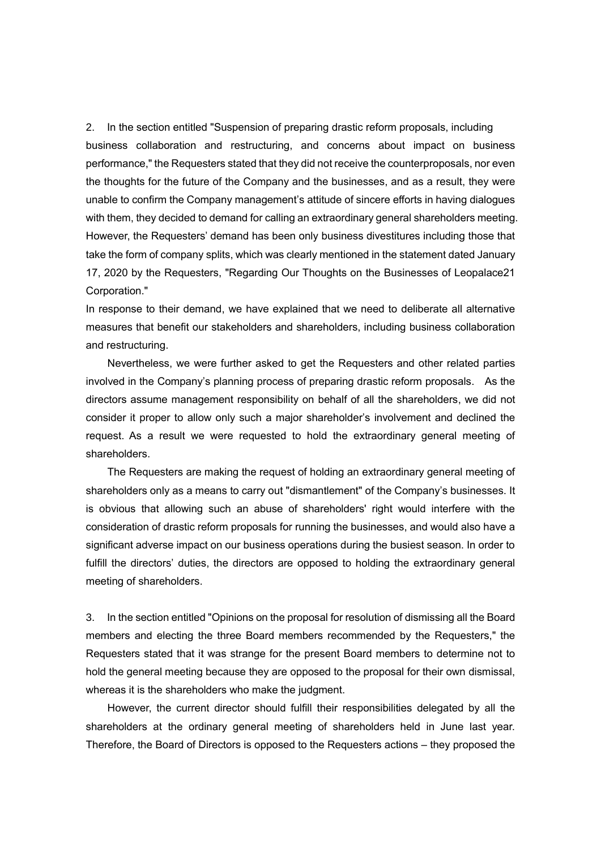2. In the section entitled "Suspension of preparing drastic reform proposals, including business collaboration and restructuring, and concerns about impact on business performance," the Requesters stated that they did not receive the counterproposals, nor even the thoughts for the future of the Company and the businesses, and as a result, they were unable to confirm the Company management's attitude of sincere efforts in having dialogues with them, they decided to demand for calling an extraordinary general shareholders meeting. However, the Requesters' demand has been only business divestitures including those that take the form of company splits, which was clearly mentioned in the statement dated January 17, 2020 by the Requesters, "Regarding Our Thoughts on the Businesses of Leopalace21 Corporation."

In response to their demand, we have explained that we need to deliberate all alternative measures that benefit our stakeholders and shareholders, including business collaboration and restructuring.

Nevertheless, we were further asked to get the Requesters and other related parties involved in the Company's planning process of preparing drastic reform proposals. As the directors assume management responsibility on behalf of all the shareholders, we did not consider it proper to allow only such a major shareholder's involvement and declined the request. As a result we were requested to hold the extraordinary general meeting of shareholders.

The Requesters are making the request of holding an extraordinary general meeting of shareholders only as a means to carry out "dismantlement" of the Company's businesses. It is obvious that allowing such an abuse of shareholders' right would interfere with the consideration of drastic reform proposals for running the businesses, and would also have a significant adverse impact on our business operations during the busiest season. In order to fulfill the directors' duties, the directors are opposed to holding the extraordinary general meeting of shareholders.

3. In the section entitled "Opinions on the proposal for resolution of dismissing all the Board members and electing the three Board members recommended by the Requesters," the Requesters stated that it was strange for the present Board members to determine not to hold the general meeting because they are opposed to the proposal for their own dismissal, whereas it is the shareholders who make the judgment.

However, the current director should fulfill their responsibilities delegated by all the shareholders at the ordinary general meeting of shareholders held in June last year. Therefore, the Board of Directors is opposed to the Requesters actions – they proposed the